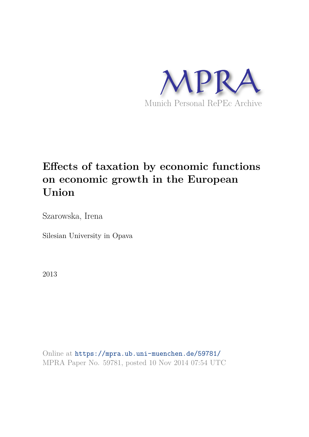

# **Effects of taxation by economic functions on economic growth in the European Union**

Szarowska, Irena

Silesian University in Opava

2013

Online at https://mpra.ub.uni-muenchen.de/59781/ MPRA Paper No. 59781, posted 10 Nov 2014 07:54 UTC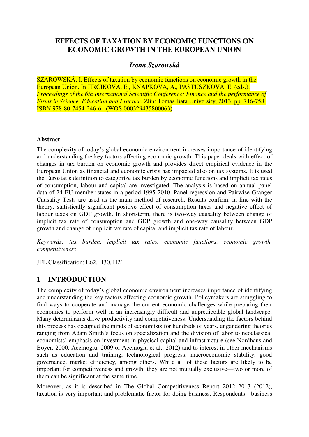### **EFFECTS OF TAXATION BY ECONOMIC FUNCTIONS ON ECONOMIC GROWTH IN THE EUROPEAN UNION**

### *Irena Szarowská*

SZAROWSKÁ, I. Effects of taxation by economic functions on economic growth in the European Union. In JIRCIKOVA, E., KNAPKOVA, A., PASTUSZKOVA, E. (eds.). *Proceedings of the 6th International Scientific Conference: Finance and the performance of Firms in Science, Education and Practice.* Zlin: Tomas Bata University, 2013, pp. 746-758. ISBN 978-80-7454-246-6. (WOS:000329435800063)

#### **Abstract**

The complexity of today's global economic environment increases importance of identifying and understanding the key factors affecting economic growth. This paper deals with effect of changes in tax burden on economic growth and provides direct empirical evidence in the European Union as financial and economic crisis has impacted also on tax systems. It is used the Eurostat´s definition to categorize tax burden by economic functions and implicit tax rates of consumption, labour and capital are investigated. The analysis is based on annual panel data of 24 EU member states in a period 1995-2010. Panel regression and Pairwise Granger Causality Tests are used as the main method of research. Results confirm, in line with the theory, statistically significant positive effect of consumption taxes and negative effect of labour taxes on GDP growth. In short-term, there is two-way causality between change of implicit tax rate of consumption and GDP growth and one-way causality between GDP growth and change of implicit tax rate of capital and implicit tax rate of labour.

*Keywords: tax burden, implicit tax rates, economic functions, economic growth, competitiveness* 

JEL Classification: E62, H30, H21

### **1 INTRODUCTION**

The complexity of today's global economic environment increases importance of identifying and understanding the key factors affecting economic growth. Policymakers are struggling to find ways to cooperate and manage the current economic challenges while preparing their economies to perform well in an increasingly difficult and unpredictable global landscape. Many determinants drive productivity and competitiveness. Understanding the factors behind this process has occupied the minds of economists for hundreds of years, engendering theories ranging from Adam Smith's focus on specialization and the division of labor to neoclassical economists' emphasis on investment in physical capital and infrastructure (see Nordhaus and Boyer, 2000, Acemoglu, 2009 or Acemoglu et al., 2012) and to interest in other mechanisms such as education and training, technological progress, macroeconomic stability, good governance, market efficiency, among others. While all of these factors are likely to be important for competitiveness and growth, they are not mutually exclusive—two or more of them can be significant at the same time.

Moreover, as it is described in The Global Competitiveness Report 2012–2013 (2012), taxation is very important and problematic factor for doing business. Respondents - business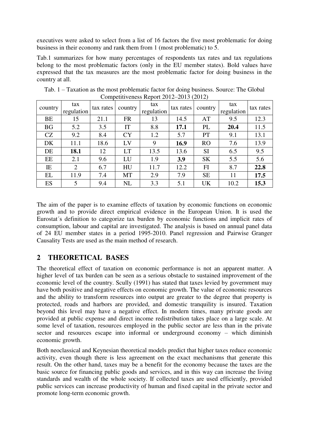executives were asked to select from a list of 16 factors the five most problematic for doing business in their economy and rank them from 1 (most problematic) to 5.

Tab.1 summarizes for how many percentages of respondents tax rates and tax regulations belong to the most problematic factors (only in the EU member states). Bold values have expressed that the tax measures are the most problematic factor for doing business in the country at all.

| country   | tax<br>regulation | tax rates | country   | tax<br>regulation | tax rates | country   | tax<br>regulation | tax rates |
|-----------|-------------------|-----------|-----------|-------------------|-----------|-----------|-------------------|-----------|
| BE        | 15                | 21.1      | <b>FR</b> | 13                | 14.5      | AT        | 9.5               | 12.3      |
| <b>BG</b> | 5.2               | 3.5       | IT        | 8.8               | 17.1      | PL        | 20.4              | 11.5      |
| CZ        | 9.2               | 8.4       | <b>CY</b> | 1.2               | 5.7       | PT        | 9.1               | 13.1      |
| DK        | 11.1              | 18.6      | LV        | 9                 | 16.9      | <b>RO</b> | 7.6               | 13.9      |
| DE        | 18.1              | 12        | <b>LT</b> | 13.5              | 13.6      | <b>SI</b> | 6.5               | 9.5       |
| EE        | 2.1               | 9.6       | LU        | 1.9               | 3.9       | <b>SK</b> | 5.5               | 5.6       |
| IE        | $\overline{2}$    | 6.7       | HU        | 11.7              | 12.2      | FI        | 8.7               | 22.8      |
| EL        | 11.9              | 7.4       | <b>MT</b> | 2.9               | 7.9       | <b>SE</b> | 11                | 17.5      |
| ES        | 5                 | 9.4       | <b>NL</b> | 3.3               | 5.1       | UK        | 10.2              | 15.3      |

Tab. 1 – Taxation as the most problematic factor for doing business. Source: The Global Competitiveness Report 2012–2013 (2012)

The aim of the paper is to examine effects of taxation by economic functions on economic growth and to provide direct empirical evidence in the European Union. It is used the Eurostat´s definition to categorize tax burden by economic functions and implicit rates of consumption, labour and capital are investigated. The analysis is based on annual panel data of 24 EU member states in a period 1995-2010. Panel regression and Pairwise Granger Causality Tests are used as the main method of research.

# **2 THEORETICAL BASES**

The theoretical effect of taxation on economic performance is not an apparent matter. A higher level of tax burden can be seen as a serious obstacle to sustained improvement of the economic level of the country. Scully (1991) has stated that taxes levied by government may have both positive and negative effects on economic growth. The value of economic resources and the ability to transform resources into output are greater to the degree that property is protected, roads and harbors are provided, and domestic tranquility is insured. Taxation beyond this level may have a negative effect. In modern times, many private goods are provided at public expense and direct income redistribution takes place on a large scale. At some level of taxation, resources employed in the public sector are less than in the private sector and resources escape into informal or underground economy – which diminish economic growth.

Both neoclassical and Keynesian theoretical models predict that higher taxes reduce economic activity, even though there is less agreement on the exact mechanisms that generate this result. On the other hand, taxes may be a benefit for the economy because the taxes are the basic source for financing public goods and services, and in this way can increase the living standards and wealth of the whole society. If collected taxes are used efficiently, provided public services can increase productivity of human and fixed capital in the private sector and promote long-term economic growth.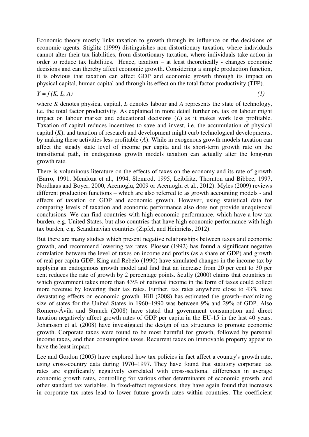Economic theory mostly links taxation to growth through its influence on the decisions of economic agents. Stiglitz (1999) distinguishes non-distortionary taxation, where individuals cannot alter their tax liabilities, from distortionary taxation, where individuals take action in order to reduce tax liabilities. Hence, taxation – at least theoretically - changes economic decisions and can thereby affect economic growth. Considering a simple production function, it is obvious that taxation can affect GDP and economic growth through its impact on physical capital, human capital and through its effect on the total factor productivity (TFP).

$$
Y = f(K, L, A) \tag{1}
$$

where *K* denotes physical capital, *L* denotes labour and *A* represents the state of technology, i.e. the total factor productivity. As explained in more detail further on, tax on labour might impact on labour market and educational decisions (*L*) as it makes work less profitable. Taxation of capital reduces incentives to save and invest, i.e. the accumulation of physical capital (*K*), and taxation of research and development might curb technological developments, by making these activities less profitable (*A*). While in exogenous growth models taxation can affect the steady state level of income per capita and its short-term growth rate on the transitional path, in endogenous growth models taxation can actually alter the long-run growth rate.

There is voluminous literature on the effects of taxes on the economy and its rate of growth (Barro, 1991, Mendoza et al., 1994, Slemrod, 1995, Leibfritz, Thornton and Bibbee, 1997, Nordhaus and Boyer, 2000, Acemoglu, 2009 or Acemoglu et al., 2012). Myles (2009) reviews different production functions – which are also referred to as growth accounting models - and effects of taxation on GDP and economic growth. However, using statistical data for comparing levels of taxation and economic performance also does not provide unequivocal conclusions. We can find countries with high economic performance, which have a low tax burden, e.g. United States, but also countries that have high economic performance with high tax burden, e.g. Scandinavian countries (Zipfel, and Heinrichs, 2012).

But there are many studies which present negative relationships between taxes and economic growth, and recommend lowering tax rates. Plosser (1992) has found a significant negative correlation between the level of taxes on income and profits (as a share of GDP) and growth of real per capita GDP. King and Rebelo (1990) have simulated changes in the income tax by applying an endogenous growth model and find that an increase from 20 per cent to 30 per cent reduces the rate of growth by 2 percentage points. Scully (2000) claims that countries in which government takes more than  $43\%$  of national income in the form of taxes could collect more revenue by lowering their tax rates. Further, tax rates anywhere close to 43% have devastating effects on economic growth. Hill (2008) has estimated the growth–maximizing size of states for the United States in 1960–1990 was between 9% and 29% of GDP. Also Romero-Ávila and Strauch (2008) have stated that government consumption and direct taxation negatively affect growth rates of GDP per capita in the EU-15 in the last 40 years. Johansson et al. (2008) have investigated the design of tax structures to promote economic growth. Corporate taxes were found to be most harmful for growth, followed by personal income taxes, and then consumption taxes. Recurrent taxes on immovable property appear to have the least impact.

Lee and Gordon (2005) have explored how tax policies in fact affect a country's growth rate, using cross-country data during 1970–1997. They have found that statutory corporate tax rates are significantly negatively correlated with cross-sectional differences in average economic growth rates, controlling for various other determinants of economic growth, and other standard tax variables. In fixed-effect regressions, they have again found that increases in corporate tax rates lead to lower future growth rates within countries. The coefficient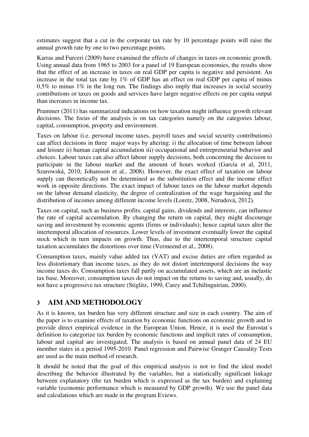estimates suggest that a cut in the corporate tax rate by 10 percentage points will raise the annual growth rate by one to two percentage points.

Karras and Furceri (2009) have examined the effects of changes in taxes on economic growth. Using annual data from 1965 to 2003 for a panel of 19 European economies, the results show that the effect of an increase in taxes on real GDP per capita is negative and persistent. An increase in the total tax rate by 1% of GDP has an effect on real GDP per capita of minus 0.5% to minus 1% in the long run. The findings also imply that increases in social security contributions or taxes on goods and services have larger negative effects on per capita output than increases in income tax.

Prammer (2011) has summarized indications on how taxation might influence growth relevant decisions. The focus of the analysis is on tax categories namely on the categories labour, capital, consumption, property and environment.

Taxes on labour (i.e. personal income taxes, payroll taxes and social security contributions) can affect decisions in three major ways by altering: i) the allocation of time between labour and leisure ii) human capital accumulation iii) occupational and entrepreneurial behavior and choices. Labour taxes can also affect labour supply decisions, both concerning the decision to participate in the labour market and the amount of hours worked (García et al, 2011, Szarowská, 2010, Johansson et al., 2008). However, the exact effect of taxation on labour supply can theoretically not be determined as the substitution effect and the income effect work in opposite directions. The exact impact of labour taxes on the labour market depends on the labour demand elasticity, the degree of centralization of the wage bargaining and the distribution of incomes among different income levels (Loretz, 2008, Nerudová, 2012).

Taxes on capital, such as business profits, capital gains, dividends and interests, can influence the rate of capital accumulation. By changing the return on capital, they might discourage saving and investment by economic agents (firms or individuals); hence capital taxes alter the intertemporal allocation of resources. Lower levels of investment eventually lower the capital stock which in turn impacts on growth. Thus, due to the intertemporal structure capital taxation accumulates the distortions over time (Vermeend et al., 2008).

Consumption taxes, mainly value added tax (VAT) and excise duties are often regarded as less distortionary than income taxes, as they do not distort intertemporal decisions the way income taxes do. Consumption taxes fall partly on accumulated assets, which are an inelastic tax base. Moreover, consumption taxes do not impact on the returns to saving and, usually, do not have a progressive tax structure (Stiglitz, 1999, Carey and Tchilinguirian, 2000).

### **3 AIM AND METHODOLOGY**

As it is known, tax burden has very different structure and size in each country. The aim of the paper is to examine effects of taxation by economic functions on economic growth and to provide direct empirical evidence in the European Union. Hence, it is used the Eurostat´s definition to categorize tax burden by economic functions and implicit rates of consumption, labour and capital are investigated. The analysis is based on annual panel data of 24 EU member states in a period 1995-2010. Panel regression and Pairwise Granger Causality Tests are used as the main method of research.

It should be noted that the goal of this empirical analysis is not to find the ideal model describing the behavior illustrated by the variables, but a statistically significant linkage between explanatory (the tax burden which is expressed as the tax burden) and explaining variable (economic performance which is measured by GDP growth). We use the panel data and calculations which are made in the program Eviews.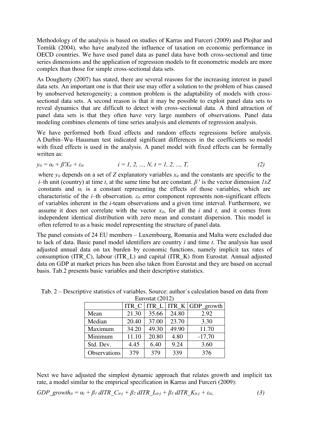Methodology of the analysis is based on studies of Karras and Furceri (2009) and Plojhar and Tomšík (2004)*,* who have analyzed the influence of taxation on economic performance in OECD countries. We have used panel data as panel data have both cross-sectional and time series dimensions and the application of regression models to fit econometric models are more complex than those for simple cross-sectional data sets.

As Dougherty (2007) has stated, there are several reasons for the increasing interest in panel data sets. An important one is that their use may offer a solution to the problem of bias caused by unobserved heterogeneity; a common problem is the adaptability of models with crosssectional data sets. A second reason is that it may be possible to exploit panel data sets to reveal dynamics that are difficult to detect with cross-sectional data. A third attraction of panel data sets is that they often have very large numbers of observations. Panel data modeling combines elements of time series analysis and elements of regression analysis.

We have performed both fixed effects and random effects regressions before analysis. A Durbin–Wu–Hausman test indicated significant differences in the coefficients so model with fixed effects is used in the analysis. A panel model with fixed effects can be formally written as:

$$
y_{it} = \alpha_i + \beta' X_{it} + \varepsilon_{it} \qquad i = 1, 2, ..., N, t = 1, 2, ..., T,
$$
 (2)

where  $v_i$  depends on a set of *Z* explanatory variables  $x_i$  and the constants are specific to the *i*–th unit (country) at time *t*, at the same time but are constant. *β* ' is the vector dimension *1xZ* constants and  $\alpha_i$  is a constant representing the effects of those variables, which are characteristic of the *i*-th observation.  $\varepsilon_{it}$  error component represents non-significant effects of variables inherent in the *i*-team observations and a given time interval. Furthermore, we assume it does not correlate with the vector  $x_{it}$ , for all the *i* and *t*, and it comes from independent identical distribution with zero mean and constant dispersion. This model is often referred to as a basic model representing the structure of panel data.

The panel consists of 24 EU members – Luxembourg, Romania and Malta were excluded due to lack of data. Basic panel model identifiers are country *i* and time *t*. The analysis has used adjusted annual data on tax burden by economic functions, namely implicit tax rates of consumption (ITR\_C), labour (ITR\_L) and capital (ITR\_K) from Eurostat. Annual adjusted data on GDP at market prices has been also taken from Eurostat and they are based on accrual basis. Tab.2 presents basic variables and their descriptive statistics.

| $L$ urvolut ( $L$ v 1 $L$ ) |       |       |       |                       |  |  |
|-----------------------------|-------|-------|-------|-----------------------|--|--|
|                             | ITR C | ITR L |       | $ITR_K   GDP\_growth$ |  |  |
| Mean                        | 21.30 | 35.66 | 24.80 | 2.92                  |  |  |
| Median                      | 20.40 | 37.00 | 23.70 | 3.30                  |  |  |
| Maximum                     | 34.20 | 49.30 | 49.90 | 11.70                 |  |  |
| Minimum                     | 11.10 | 20.80 | 4.80  | $-17,70$              |  |  |
| Std. Dev.                   | 4.45  | 6.40  | 9.24  | 3.60                  |  |  |
| Observations                | 379   | 379   | 339   | 376                   |  |  |

Tab. 2 – Descriptive statistics of variables. Source: author´s calculation based on data from Eurostat (2012)

Next we have adjusted the simplest dynamic approach that relates growth and implicit tax rate, a model similar to the empirical specification in Karras and Furceri (2009):

$$
GDP\_growth_{it} = \alpha_i + \beta_l \, dITR\_C_{it-j} + \beta_2 \, dITR\_L_{it-j} + \beta_3 \, dITR\_K_{it-j} + \varepsilon_{it}, \qquad (3)
$$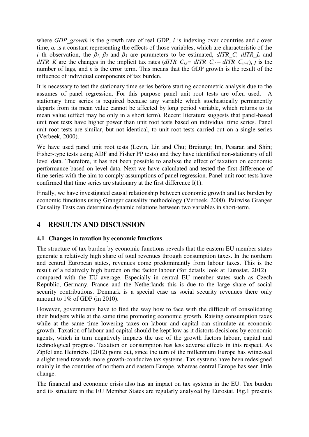where *GDP*\_*growth* is the growth rate of real GDP, *i* is indexing over countries and *t* over time, *αi* is a constant representing the effects of those variables, which are characteristic of the *i–*th observation, the *β1, β2* and *β3* are parameters to be estimated, *dITR\_C, dITR\_L* and *dITR* K are the changes in the implicit tax rates (*dITR*  $C_i$ <sup> $\neq$ </sup> *dITR*  $C_i$ <sup> $\neq$ </sup> *dITR*  $C_i$ <sup> $\neq$ </sup>*i*, *j* is the number of lags, and  $\varepsilon$  is the error term. This means that the GDP growth is the result of the influence of individual components of tax burden.

It is necessary to test the stationary time series before starting econometric analysis due to the assumes of panel regression. For this purpose panel unit root tests are often used. A stationary time series is required because any variable which stochastically permanently departs from its mean value cannot be affected by long period variable, which returns to its mean value (effect may be only in a short term). Recent literature suggests that panel-based unit root tests have higher power than unit root tests based on individual time series. Panel unit root tests are similar, but not identical, to unit root tests carried out on a single series (Verbeek, 2000).

We have used panel unit root tests (Levin, Lin and Chu; Breitung; Im, Pesaran and Shin; Fisher-type tests using ADF and Fisher PP tests) and they have identified non-stationary of all level data. Therefore, it has not been possible to analyse the effect of taxation on economic performance based on level data. Next we have calculated and tested the first difference of time series with the aim to comply assumptions of panel regression. Panel unit root tests have confirmed that time series are stationary at the first difference I(1).

Finally, we have investigated causal relationship between economic growth and tax burden by economic functions using Granger causality methodology (Verbeek, 2000). Pairwise Granger Causality Tests can determine dynamic relations between two variables in short-term.

# **4 RESULTS AND DISCUSSION**

### **4.1 Changes in taxation by economic functions**

The structure of tax burden by economic functions reveals that the eastern EU member states generate a relatively high share of total revenues through consumption taxes. In the northern and central European states, revenues come predominantly from labour taxes. This is the result of a relatively high burden on the factor labour (for details look at Eurostat, 2012) − compared with the EU average. Especially in central EU member states such as Czech Republic, Germany, France and the Netherlands this is due to the large share of social security contributions. Denmark is a special case as social security revenues there only amount to 1% of GDP (in 2010).

However, governments have to find the way how to face with the difficult of consolidating their budgets while at the same time promoting economic growth. Raising consumption taxes while at the same time lowering taxes on labour and capital can stimulate an economic growth. Taxation of labour and capital should be kept low as it distorts decisions by economic agents, which in turn negatively impacts the use of the growth factors labour, capital and technological progress. Taxation on consumption has less adverse effects in this respect. As Zipfel and Heinrichs (2012) point out, since the turn of the millennium Europe has witnessed a slight trend towards more growth-conducive tax systems. Tax systems have been redesigned mainly in the countries of northern and eastern Europe, whereas central Europe has seen little change.

The financial and economic crisis also has an impact on tax systems in the EU. Tax burden and its structure in the EU Member States are regularly analyzed by Eurostat. Fig.1 presents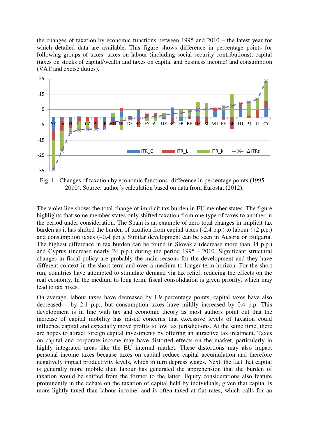the changes of taxation by economic functions between 1995 and 2010 – the latest year for which detailed data are available. This figure shows difference in percentage points for following groups of taxes: taxes on labour (including social security contributions), capital (taxes on stocks of capital/wealth and taxes on capital and business income) and consumption (VAT and excise duties).



Fig. 1 - Changes of taxation by economic functions- difference in percentage points (1995 – 2010). Source: author´s calculation based on data from Eurostat (2012).

The violet line shows the total change of implicit tax burden in EU member states. The figure highlights that some member states only shifted taxation from one type of taxes to another in the period under consideration. The Spain is an example of zero total changes in implicit tax burden as it has shifted the burden of taxation from capital taxes (-2.4 p.p.) to labour (+2 p.p.) and consumption taxes (+0.4 p.p.). Similar development can be seen in Austria or Bulgaria. The highest difference in tax burden can be found in Slovakia (decrease more than 34 p.p.) and Cyprus (increase nearly 24 p.p.) during the period 1995 - 2010. Significant structural changes in fiscal policy are probably the main reasons for the development and they have different context in the short term and over a medium to longer-term horizon. For the short run, countries have attempted to stimulate demand via tax relief, reducing the effects on the real economy. In the medium to long term, fiscal consolidation is given priority, which may lead to tax hikes.

On average, labour taxes have decreased by 1.9 percentage points, capital taxes have also decreased – by 2.1 p.p., but consumption taxes have mildly increased by 0.4 p.p. This development is in line with tax and economic theory as most authors point out that the increase of capital mobility has raised concerns that excessive levels of taxation could influence capital and especially move profits to low tax jurisdictions. At the same time, there are hopes to attract foreign capital investments by offering an attractive tax treatment. Taxes on capital and corporate income may have distorted effects on the market, particularly in highly integrated areas like the EU internal market. These distortions may also impact personal income taxes because taxes on capital reduce capital accumulation and therefore negatively impact productivity levels, which in turn depress wages. Next, the fact that capital is generally more mobile than labour has generated the apprehension that the burden of taxation would be shifted from the former to the latter. Equity considerations also feature prominently in the debate on the taxation of capital held by individuals, given that capital is more lightly taxed than labour income, and is often taxed at flat rates, which calls for an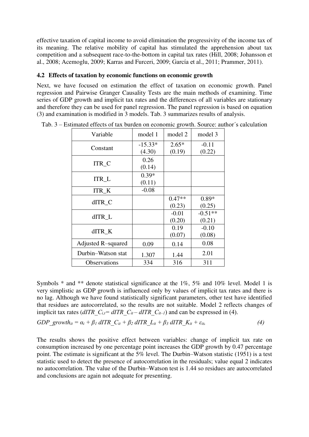effective taxation of capital income to avoid elimination the progressivity of the income tax of its meaning. The relative mobility of capital has stimulated the apprehension about tax competition and a subsequent race-to-the-bottom in capital tax rates (Hill, 2008; Johansson et al., 2008; Acemoglu, 2009; Karras and Furceri, 2009; García et al., 2011; Prammer, 2011).

#### **4.2 Effects of taxation by economic functions on economic growth**

Next, we have focused on estimation the effect of taxation on economic growth. Panel regression and Pairwise Granger Causality Tests are the main methods of examining. Time series of GDP growth and implicit tax rates and the differences of all variables are stationary and therefore they can be used for panel regression. The panel regression is based on equation (3) and examination is modified in 3 models. Tab. 3 summarizes results of analysis.

| Variable           | model 1             | model 2            | model 3             |
|--------------------|---------------------|--------------------|---------------------|
| Constant           | $-15.33*$<br>(4.30) | $2.65*$<br>(0.19)  | $-0.11$<br>(0.22)   |
| ITR_C              | 0.26<br>(0.14)      |                    |                     |
| ITR_L              | $0.39*$<br>(0.11)   |                    |                     |
| ITR K              | $-0.08$             |                    |                     |
| dITR_C             |                     | $0.47**$<br>(0.23) | $0.89*$<br>(0.25)   |
| dITR L             |                     | $-0.01$<br>(0.20)  | $-0.51**$<br>(0.21) |
| dITR K             |                     | 0.19<br>(0.07)     | $-0.10$<br>(0.08)   |
| Adjusted R-squared | 0.09                | 0.14               | 0.08                |
| Durbin–Watson stat | 1.307               | 1.44               | 2.01                |
| Observations       | 334                 | 316                | 311                 |

Tab. 3 – Estimated effects of tax burden on economic growth. Source: author´s calculation

Symbols  $*$  and  $**$  denote statistical significance at the 1%, 5% and 10% level. Model 1 is very simplistic as GDP growth is influenced only by values of implicit tax rates and there is no lag. Although we have found statistically significant parameters, other test have identified that residues are autocorrelated, so the results are not suitable. Model 2 reflects changes of implicit tax rates ( $dITR\ C_{i,t} = dITR\ C_{i,t} - dITR\ C_{i,t-1}$ ) and can be expressed in (4).

$$
GDP\_growth_{it} = \alpha_i + \beta_l \, dITR\_C_{it} + \beta_2 \, dITR\_L_{it} + \beta_3 \, dITR\_K_{it} + \varepsilon_{it}, \qquad (4)
$$

The results shows the positive effect between variables: change of implicit tax rate on consumption increased by one percentage point increases the GDP growth by 0.47 percentage point. The estimate is significant at the 5% level. The Durbin–Watson statistic (1951) is a test statistic used to detect the presence of autocorrelation in the residuals; value equal 2 indicates no autocorrelation. The value of the Durbin–Watson test is 1.44 so residues are autocorrelated and conclusions are again not adequate for presenting.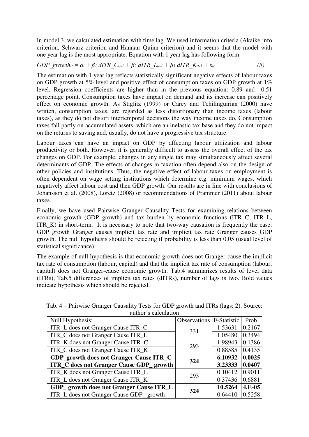In model 3, we calculated estimation with time lag. We used information criteria (Akaike info criterion, Schwarz criterion and Hannan–Quinn criterion) and it seems that the model with one year lag is the most appropriate. Equation with 1 year lag has following form:

$$
GDP\_growth_{it} = \alpha_i + \beta_l \, dITR \, C_{it-l} + \beta_2 \, dITR \, L_{it-l} + \beta_3 \, dITR \, K_{it-l} + \varepsilon_{it}, \tag{5}
$$

The estimation with 1 year lag reflects statistically significant negative effects of labour taxes on GDP growth at 5% level and positive effect of consumption taxes on GDP growth at 1% level. Regression coefficients are higher than in the previous equation: 0.89 and –0.51 percentage point. Consumption taxes have impact on demand and its increase can positively effect on economic growth. As Stiglitz (1999) or Carey and Tchilinguirian (2000) have written, consumption taxes, are regarded as less distortionary than income taxes (labour taxes), as they do not distort intertemporal decisions the way income taxes do. Consumption taxes fall partly on accumulated assets, which are an inelastic tax base and they do not impact on the returns to saving and, usually, do not have a progressive tax structure.

Labour taxes can have an impact on GDP by affecting labour utilization and labour productivity or both. However, it is generally difficult to assess the overall effect of the tax changes on GDP. For example, changes in any single tax may simultaneously affect several determinants of GDP. The effects of changes in taxation often depend also on the design of other policies and institutions. Thus, the negative effect of labour taxes on employment is often dependent on wage setting institutions which determine e.g. minimum wages, which negatively affect labour cost and then GDP growth. Our results are in line with conclusions of Johansson et al. (2008), Loretz (2008) or recommendations of Prammer (2011) about labour taxes.

Finally, we have used Pairwise Granger Causality Tests for examining relations between economic growth (GDP\_growth) and tax burden by economic functions (ITR\_C, ITR\_L, ITR  $K$ ) in short-term. It is necessary to note that two-way causation is frequently the case: GDP growth Granger causes implicit tax rate and implicit tax rate Granger causes GDP growth. The null hypothesis should be rejecting if probability is less than 0.05 (usual level of statistical significance).

The example of null hypothesis is that economic growth does not Granger-cause the implicit tax rate of consumption (labour, capital) and that the implicit tax rate of consumption (labour, capital) does not Granger-cause economic growth. Tab.4 summarizes results of level data (ITRs), Tab.5 differences of implicit tax rates (dITRs), number of lags is two. Bold values indicate hypothesis which should be rejected.

| aatiivi o calcalation                          |                            |         |        |
|------------------------------------------------|----------------------------|---------|--------|
| Null Hypothesis:                               | Observations   F-Statistic |         | Prob.  |
| ITR_L does not Granger Cause ITR_C             | 331                        | 1.53631 | 0.2167 |
| ITR_C does not Granger Cause ITR_L             |                            | 1.05480 | 0.3494 |
| ITR_K does not Granger Cause ITR_C             | 293                        | 1.98943 | 0.1386 |
| ITR_C does not Granger Cause ITR_K             |                            | 0.88585 | 0.4135 |
| <b>GDP_growth does not Granger Cause ITR_C</b> | 324                        | 6.10932 | 0.0025 |
| <b>ITR_C</b> does not Granger Cause GDP_growth |                            | 3.23333 | 0.0407 |
| ITR_K does not Granger Cause ITR_L             | 293                        | 0.10412 | 0.9011 |
| ITR_L does not Granger Cause ITR_K             |                            | 0.37436 | 0.6881 |
| GDP_growth does not Granger Cause ITR_L        | 324                        | 10.5264 | 4.E-05 |
| ITR_L does not Granger Cause GDP_ growth       |                            | 0.64410 | 0.5258 |

Tab. 4 – Pairwise Granger Causality Tests for GDP growth and ITRs (lags: 2). Source: author´s calculation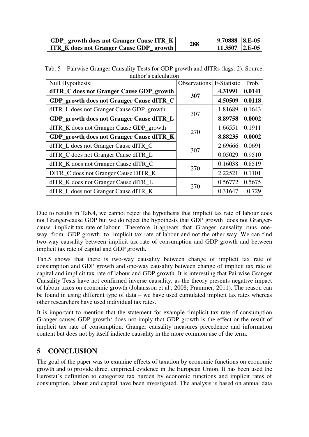| GDP_ growth does not Granger Cause ITR_K | 288 | $9.70888$   8.E-05 |  |
|------------------------------------------|-----|--------------------|--|
| ITR_K does not Granger Cause GDP_growth  |     | 11.3507   2.E-05   |  |

Tab. 5 – Pairwise Granger Causality Tests for GDP growth and dITRs (lags: 2). Source: author´s calculation

| Null Hypothesis:                                | <b>Observations</b> | F-Statistic | Prob.  |
|-------------------------------------------------|---------------------|-------------|--------|
| dITR_C does not Granger Cause GDP_growth        | 307                 | 4.31991     | 0.0141 |
| GDP_growth does not Granger Cause dITR_C        |                     | 4.50509     | 0.0118 |
| dITR_L does not Granger Cause GDP_growth        | 307                 | 1.81689     | 0.1643 |
| <b>GDP_growth does not Granger Cause dITR_L</b> |                     | 8.89758     | 0.0002 |
| dITR_K does not Granger Cause GDP_growth        | 270                 | 1.66551     | 0.1911 |
| <b>GDP_growth does not Granger Cause dITR_K</b> |                     | 8.88235     | 0.0002 |
| dITR_L does not Granger Cause dITR_C            |                     | 2.69666     | 0.0691 |
| dITR_C does not Granger Cause dITR_L            | 307                 | 0.05029     | 0.9510 |
| dITR_K does not Granger Cause dITR_C            | 270                 | 0.16038     | 0.8519 |
| DITR_C does not Granger Cause DITR_K            |                     | 2.22521     | 0.1101 |
| dITR_K does not Granger Cause dITR_L            | 270                 | 0.56772     | 0.5675 |
| dITR_L does not Granger Cause dITR K            |                     | 0.31647     | 0.729  |

Due to results in Tab.4, we cannot reject the hypothesis that implicit tax rate of labour does not Granger-cause GDP but we do reject the hypothesis that GDP growth does not Grangercause implicit tax rate of labour. Therefore it appears that Granger causality runs oneway from GDP growth to implicit tax rate of labour and not the other way. We can find two-way causality between implicit tax rate of consumption and GDP growth and between implicit tax rate of capital and GDP growth.

Tab.5 shows that there is two-way causality between change of implicit tax rate of consumption and GDP growth and one-way causality between change of implicit tax rate of capital and implicit tax rate of labour and GDP growth. It is interesting that Pairwise Granger Causality Tests have not confirmed inverse causality, as the theory presents negative impact of labour taxes on economic growth (Johansson et al., 2008; Prammer, 2011). The reason can be found in using different type of data – we have used cumulated implicit tax rates whereas other researchers have used individual tax rates.

It is important to mention that the statement for example 'implicit tax rate of consumption Granger causes GDP growth' does not imply that GDP growth is the effect or the result of implicit tax rate of consumption. Granger causality measures precedence and information content but does not by itself indicate causality in the more common use of the term.

# **5 CONCLUSION**

The goal of the paper was to examine effects of taxation by economic functions on economic growth and to provide direct empirical evidence in the European Union. It has been used the Eurostat´s definition to categorize tax burden by economic functions and implicit rates of consumption, labour and capital have been investigated. The analysis is based on annual data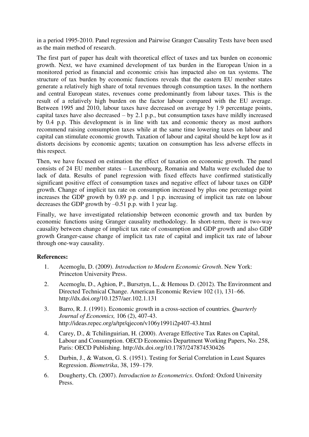in a period 1995-2010. Panel regression and Pairwise Granger Causality Tests have been used as the main method of research.

The first part of paper has dealt with theoretical effect of taxes and tax burden on economic growth. Next, we have examined development of tax burden in the European Union in a monitored period as financial and economic crisis has impacted also on tax systems. The structure of tax burden by economic functions reveals that the eastern EU member states generate a relatively high share of total revenues through consumption taxes. In the northern and central European states, revenues come predominantly from labour taxes. This is the result of a relatively high burden on the factor labour compared with the EU average. Between 1995 and 2010, labour taxes have decreased on average by 1.9 percentage points, capital taxes have also decreased  $-$  by 2.1 p.p., but consumption taxes have mildly increased by 0.4 p.p. This development is in line with tax and economic theory as most authors recommend raising consumption taxes while at the same time lowering taxes on labour and capital can stimulate economic growth. Taxation of labour and capital should be kept low as it distorts decisions by economic agents; taxation on consumption has less adverse effects in this respect.

Then, we have focused on estimation the effect of taxation on economic growth. The panel consists of 24 EU member states – Luxembourg, Romania and Malta were excluded due to lack of data. Results of panel regression with fixed effects have confirmed statistically significant positive effect of consumption taxes and negative effect of labour taxes on GDP growth. Change of implicit tax rate on consumption increased by plus one percentage point increases the GDP growth by 0.89 p.p. and 1 p.p. increasing of implicit tax rate on labour decreases the GDP growth by  $-0.51$  p.p. with 1 year lag.

Finally, we have investigated relationship between economic growth and tax burden by economic functions using Granger causality methodology. In short-term, there is two-way causality between change of implicit tax rate of consumption and GDP growth and also GDP growth Granger-cause change of implicit tax rate of capital and implicit tax rate of labour through one-way causality.

#### **References:**

- 1. Acemoglu, D. (2009). *Introduction to Modern Economic Growth*. New York: Princeton University Press.
- 2. Acemoglu, D., Aghion, P., Bursztyn, L., & Hemous D. (2012). The Environment and Directed Technical Change. American Economic Review 102 (1), 131–66. http://dx.doi.org/10.1257/aer.102.1.131
- 3. Barro, R. J. (1991). Economic growth in a cross-section of countries. *Quarterly Journal of Economics,* 106 (2), 407-43. http://ideas.repec.org/a/tpr/qjecon/v106y1991i2p407-43.html
- 4. Carey, D., & Tchilinguirian, H. (2000). Average Effective Tax Rates on Capital, Labour and Consumption. OECD Economics Department Working Papers, No. 258, Paris: OECD Publishing. http://dx.doi.org/10.1787/247874530426
- 5. Durbin, J., & Watson, G. S. (1951). Testing for Serial Correlation in Least Squares Regression. *Biometrika*, 38, 159–179.
- 6. Dougherty, Ch. (2007). *Introduction to Econometrics*. Oxford: Oxford University Press.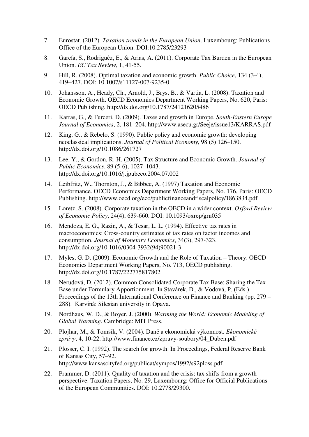- 7. Eurostat. (2012). *Taxation trends in the European Union*. Luxembourg: Publications Office of the European Union. DOI:10.2785/23293
- 8. García, S., Rodriguéz, E., & Arias, A. (2011). Corporate Tax Burden in the European Union. *EC Tax Review*, 1, 41-55.
- 9. Hill, R. (2008). Optimal taxation and economic growth. *Public Choice*, 134 (3-4), 419–427. DOI: 10.1007/s11127-007-9235-0
- 10. Johansson, A., Heady, Ch., Arnold, J., Brys, B., & Vartia, L. (2008). Taxation and Economic Growth. OECD Economics Department Working Papers, No. 620, Paris: OECD Publishing. http://dx.doi.org/10.1787/241216205486
- 11. Karras, G., & Furceri, D. (2009). Taxes and growth in Europe. *South-Eastern Europe Journal of Economics*, 2, 181–204. http://www.asecu.gr/Seeje/issue13/KARRAS.pdf
- 12. King, G., & Rebelo, S. (1990). Public policy and economic growth: developing neoclassical implications. *Journal of Political Economy*, 98 (5) 126–150. http://dx.doi.org/10.1086/261727
- 13. Lee, Y., & Gordon, R. H. (2005). Tax Structure and Economic Growth. *Journal of Public Economics*, 89 (5-6), 1027–1043. http://dx.doi.org/10.1016/j.jpubeco.2004.07.002
- 14. Leibfritz, W., Thornton, J., & Bibbee, A. (1997) Taxation and Economic Performance. OECD Economics Department Working Papers, No. 176, Paris: OECD Publishing. http://www.oecd.org/eco/publicfinanceandfiscalpolicy/1863834.pdf
- 15. Loretz, S. (2008). Corporate taxation in the OECD in a wider context. *Oxford Review of Economic Policy*, 24(4), 639-660. DOI: 10.1093/oxrep/grn035
- 16. Mendoza, E. G., Razin, A., & Tesar, L. L. (1994). Effective tax rates in macroeconomics: Cross-country estimates of tax rates on factor incomes and consumption. *Journal of Monetary Economics*, 34(3), 297-323. http://dx.doi.org/10.1016/0304-3932(94)90021-3
- 17. Myles, G. D. (2009). Economic Growth and the Role of Taxation Theory. OECD Economics Department Working Papers, No. 713, OECD publishing. http://dx.doi.org/10.1787/222775817802
- 18. Nerudová, D. (2012). Common Consolidated Corporate Tax Base: Sharing the Tax Base under Formulary Apportionment. In Stavárek, D., & Vodová, P. (Eds.) Proceedings of the 13th International Conference on Finance and Banking (pp. 279 – 288). Karviná: Silesian university in Opava.
- 19. Nordhaus, W. D., & Boyer, J. (2000). *Warming the World: Economic Modeling of Global Warming*. Cambridge: MIT Press.
- 20. Plojhar, M., & Tomšík, V. (2004). Daně a ekonomická výkonnost. *Ekonomické zprávy*, 4, 10-22. http://www.finance.cz/zpravy-soubory/04\_Duben.pdf
- 21. Plosser, C. I. (1992). The search for growth. In Proceedings, Federal Reserve Bank of Kansas City, 57–92. http://www.kansascityfed.org/publicat/sympos/1992/s92ploss.pdf
- 22. Prammer, D. (2011). Quality of taxation and the crisis: tax shifts from a growth perspective. Taxation Papers, No. 29, Luxembourg: Office for Official Publications of the European Communities. DOI: 10.2778/29300.